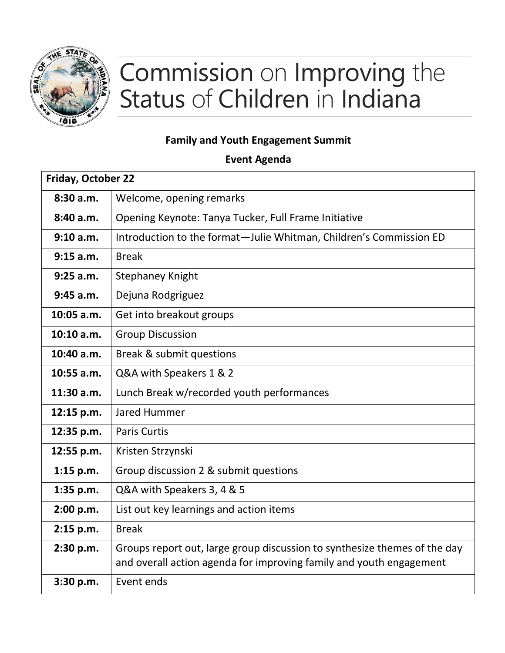

## Commission on Improving the Status of Children in Indiana

## **Family and Youth Engagement Summit**

**Event Agenda**

| Friday, October 22 |                                                                                                                                                  |
|--------------------|--------------------------------------------------------------------------------------------------------------------------------------------------|
| 8:30a.m.           | Welcome, opening remarks                                                                                                                         |
| 8:40 a.m.          | Opening Keynote: Tanya Tucker, Full Frame Initiative                                                                                             |
| 9:10 a.m.          | Introduction to the format-Julie Whitman, Children's Commission ED                                                                               |
| 9:15 a.m.          | <b>Break</b>                                                                                                                                     |
| $9:25$ a.m.        | <b>Stephaney Knight</b>                                                                                                                          |
| 9:45 a.m.          | Dejuna Rodgriguez                                                                                                                                |
| 10:05 a.m.         | Get into breakout groups                                                                                                                         |
| 10:10 a.m.         | <b>Group Discussion</b>                                                                                                                          |
| 10:40 a.m.         | Break & submit questions                                                                                                                         |
| 10:55 a.m.         | Q&A with Speakers 1 & 2                                                                                                                          |
| $11:30$ a.m.       | Lunch Break w/recorded youth performances                                                                                                        |
| 12:15 p.m.         | Jared Hummer                                                                                                                                     |
| 12:35 p.m.         | <b>Paris Curtis</b>                                                                                                                              |
| 12:55 p.m.         | Kristen Strzynski                                                                                                                                |
| $1:15$ p.m.        | Group discussion 2 & submit questions                                                                                                            |
| 1:35 p.m.          | Q&A with Speakers 3, 4 & 5                                                                                                                       |
| 2:00 p.m.          | List out key learnings and action items                                                                                                          |
| 2:15 p.m.          | <b>Break</b>                                                                                                                                     |
| 2:30 p.m.          | Groups report out, large group discussion to synthesize themes of the day<br>and overall action agenda for improving family and youth engagement |
| 3:30 p.m.          | Event ends                                                                                                                                       |